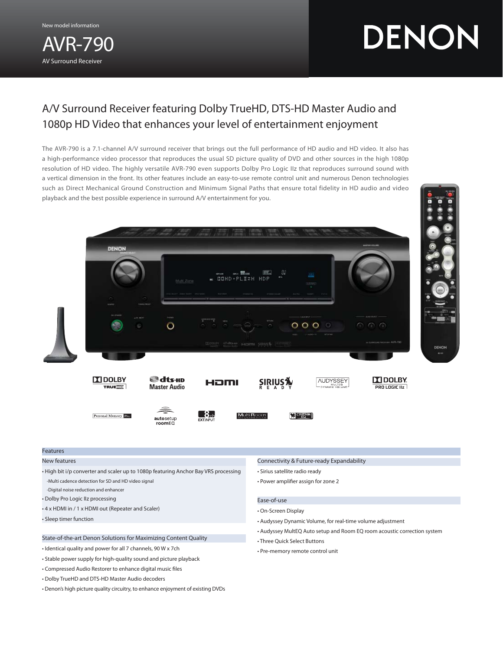New model information

AVR-790 AV Surround Receiver

DENON

# A/V Surround Receiver featuring Dolby TrueHD, DTS-HD Master Audio and 1080p HD Video that enhances your level of entertainment enjoyment

The AVR-790 is a 7.1-channel A/V surround receiver that brings out the full performance of HD audio and HD video. It also has a high-performance video processor that reproduces the usual SD picture quality of DVD and other sources in the high 1080p resolution of HD video. The highly versatile AVR-790 even supports Dolby Pro Logic IIz that reproduces surround sound with a vertical dimension in the front. Its other features include an easy-to-use remote control unit and numerous Denon technologies such as Direct Mechanical Ground Construction and Minimum Signal Paths that ensure total fidelity in HD audio and video playback and the best possible experience in surround A/V entertainment for you.



## Features

New features

- High bit i/p converter and scaler up to 1080p featuring Anchor Bay VRS processing -Multi cadence detection for SD and HD video signal
- -Digital noise reduction and enhancer
- Dolby Pro Logic IIz processing
- 4 x HDMI in / 1 x HDMI out (Repeater and Scaler)
- Sleep timer function

# State-of-the-art Denon Solutions for Maximizing Content Quality

- Identical quality and power for all 7 channels, 90 W x 7ch
- Stable power supply for high-quality sound and picture playback
- Compressed Audio Restorer to enhance digital music files
- Dolby TrueHD and DTS-HD Master Audio decoders
- Denon's high picture quality circuitry, to enhance enjoyment of existing DVDs

# Connectivity & Future-ready Expandability

- Sirius satellite radio ready
- Power amplifier assign for zone 2

## Ease-of-use

- On-Screen Display
- Audyssey Dynamic Volume, for real-time volume adjustment
- Audyssey MultEQ Auto setup and Room EQ room acoustic correction system
- Three Quick Select Buttons
- Pre-memory remote control unit